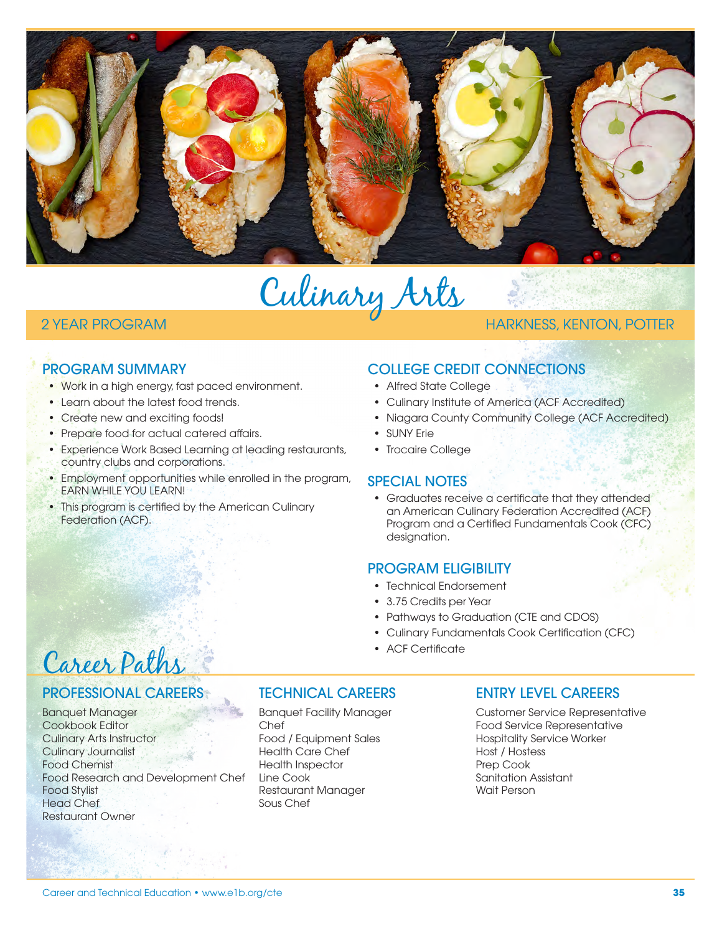

Culinary Arts

# 2 YEAR PROGRAM HARKNESS, KENTON, POTTER

# PROGRAM SUMMARY

- Work in a high energy, fast paced environment.
- Learn about the latest food trends.
- Create new and exciting foods!
- Prepare food for actual catered affairs.
- Experience Work Based Learning at leading restaurants, country clubs and corporations.
- Employment opportunities while enrolled in the program, EARN WHILE YOU LEARN!
- This program is certified by the American Culinary Federation (ACF).

# COLLEGE CREDIT CONNECTIONS

- Alfred State College
- Culinary Institute of America (ACF Accredited)
- Niagara County Community College (ACF Accredited)
- SUNY Erie
- Trocaire College

## SPECIAL NOTES

• Graduates receive a certificate that they attended an American Culinary Federation Accredited (ACF) Program and a Certified Fundamentals Cook (CFC) designation.

## PROGRAM ELIGIBILITY

- Technical Endorsement
- 3.75 Credits per Year
- Pathways to Graduation (CTE and CDOS)
- Culinary Fundamentals Cook Certification (CFC)
- ACF Certificate

# Career Paths

## PROFESSIONAL CAREERS

Banquet Manager Cookbook Editor Culinary Arts Instructor Culinary Journalist Food Chemist Food Research and Development Chef Food Stylist Head Chef Restaurant Owner

## TECHNICAL CAREERS

Banquet Facility Manager Chef Food / Equipment Sales Health Care Chef Health Inspector Line Cook Restaurant Manager Sous Chef

## ENTRY LEVEL CAREERS

Customer Service Representative Food Service Representative Hospitality Service Worker Host / Hostess Prep Cook Sanitation Assistant Wait Person